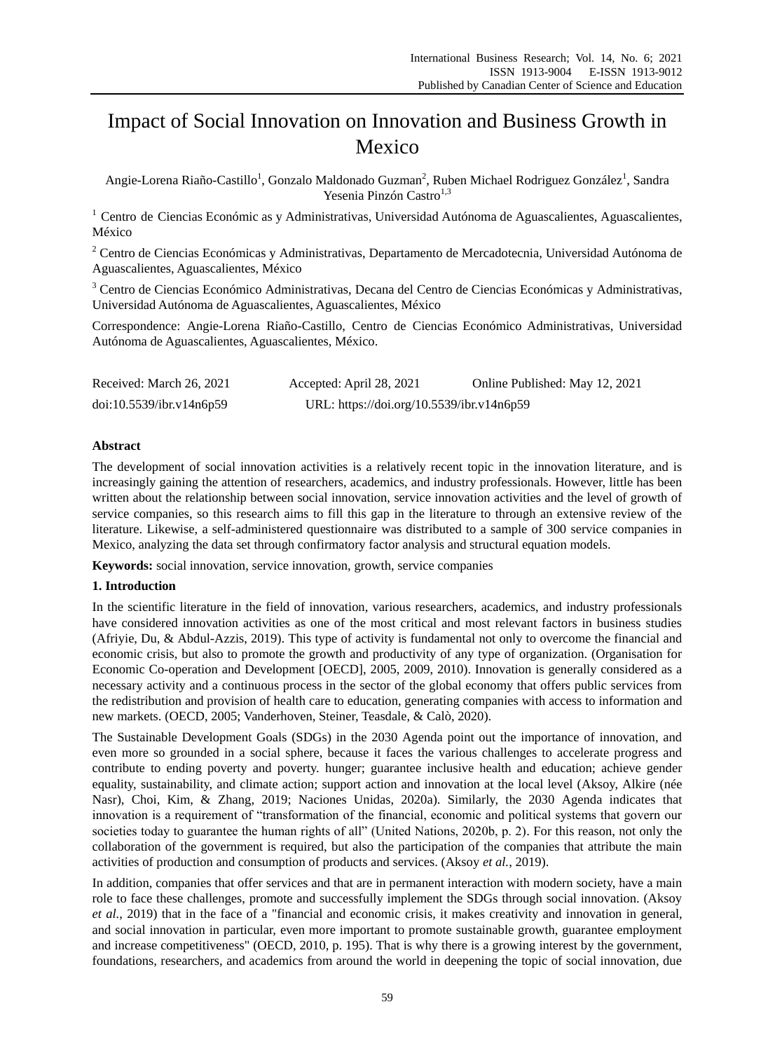# Impact of Social Innovation on Innovation and Business Growth in Mexico

Angie-Lorena Riaño-Castillo<sup>1</sup>, Gonzalo Maldonado Guzman<sup>2</sup>, Ruben Michael Rodriguez Gonz ález<sup>1</sup>, Sandra Yesenia Pinzón Castro $1,3$ 

<sup>1</sup> Centro de Ciencias Económic as y Administrativas, Universidad Autónoma de Aguascalientes, Aguascalientes, México

<sup>2</sup> Centro de Ciencias Económicas y Administrativas, Departamento de Mercadotecnia, Universidad Autónoma de Aguascalientes, Aguascalientes, México

<sup>3</sup> Centro de Ciencias Económico Administrativas, Decana del Centro de Ciencias Económicas y Administrativas, Universidad Autónoma de Aguascalientes, Aguascalientes, México

Correspondence: Angie-Lorena Riaño-Castillo, Centro de Ciencias Económico Administrativas, Universidad Autónoma de Aguascalientes, Aguascalientes, México.

| Received: March 26, 2021 | Accepted: April 28, 2021                  | Online Published: May 12, 2021 |
|--------------------------|-------------------------------------------|--------------------------------|
| doi:10.5539/ibr.v14n6p59 | URL: https://doi.org/10.5539/ibr.v14n6p59 |                                |

# **Abstract**

The development of social innovation activities is a relatively recent topic in the innovation literature, and is increasingly gaining the attention of researchers, academics, and industry professionals. However, little has been written about the relationship between social innovation, service innovation activities and the level of growth of service companies, so this research aims to fill this gap in the literature to through an extensive review of the literature. Likewise, a self-administered questionnaire was distributed to a sample of 300 service companies in Mexico, analyzing the data set through confirmatory factor analysis and structural equation models.

**Keywords:** social innovation, service innovation, growth, service companies

## **1. Introduction**

In the scientific literature in the field of innovation, various researchers, academics, and industry professionals have considered innovation activities as one of the most critical and most relevant factors in business studies (Afriyie, Du, & Abdul-Azzis, 2019). This type of activity is fundamental not only to overcome the financial and economic crisis, but also to promote the growth and productivity of any type of organization. (Organisation for Economic Co-operation and Development [OECD], 2005, 2009, 2010). Innovation is generally considered as a necessary activity and a continuous process in the sector of the global economy that offers public services from the redistribution and provision of health care to education, generating companies with access to information and new markets. (OECD, 2005; Vanderhoven, Steiner, Teasdale, & Calò, 2020).

The Sustainable Development Goals (SDGs) in the 2030 Agenda point out the importance of innovation, and even more so grounded in a social sphere, because it faces the various challenges to accelerate progress and contribute to ending poverty and poverty. hunger; guarantee inclusive health and education; achieve gender equality, sustainability, and climate action; support action and innovation at the local level (Aksoy, Alkire (née Nasr), Choi, Kim, & Zhang, 2019; Naciones Unidas, 2020a). Similarly, the 2030 Agenda indicates that innovation is a requirement of "transformation of the financial, economic and political systems that govern our societies today to guarantee the human rights of all" (United Nations, 2020b, p. 2). For this reason, not only the collaboration of the government is required, but also the participation of the companies that attribute the main activities of production and consumption of products and services. (Aksoy *et al.*, 2019).

In addition, companies that offer services and that are in permanent interaction with modern society, have a main role to face these challenges, promote and successfully implement the SDGs through social innovation. (Aksoy *et al.*, 2019) that in the face of a "financial and economic crisis, it makes creativity and innovation in general, and social innovation in particular, even more important to promote sustainable growth, guarantee employment and increase competitiveness" (OECD, 2010, p. 195). That is why there is a growing interest by the government, foundations, researchers, and academics from around the world in deepening the topic of social innovation, due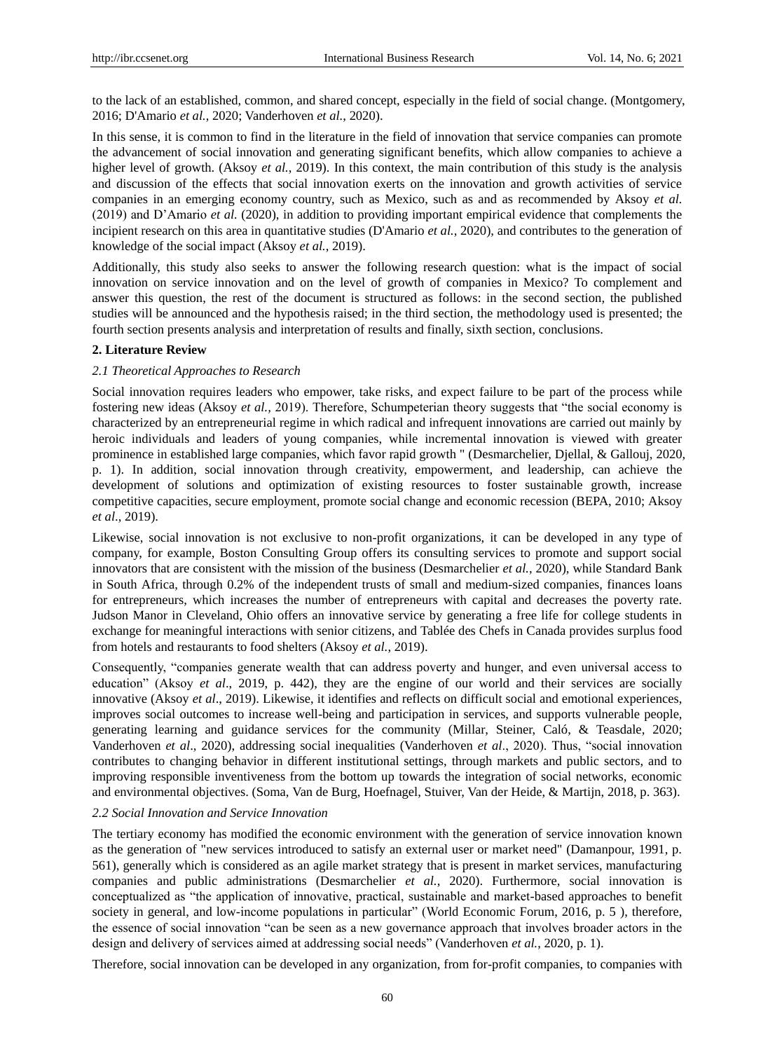to the lack of an established, common, and shared concept, especially in the field of social change. (Montgomery, 2016; D'Amario *et al.*, 2020; Vanderhoven *et al.*, 2020).

In this sense, it is common to find in the literature in the field of innovation that service companies can promote the advancement of social innovation and generating significant benefits, which allow companies to achieve a higher level of growth. (Aksoy *et al.*, 2019). In this context, the main contribution of this study is the analysis and discussion of the effects that social innovation exerts on the innovation and growth activities of service companies in an emerging economy country, such as Mexico, such as and as recommended by Aksoy *et al.* (2019) and D"Amario *et al.* (2020), in addition to providing important empirical evidence that complements the incipient research on this area in quantitative studies (D'Amario *et al.*, 2020), and contributes to the generation of knowledge of the social impact (Aksoy *et al.*, 2019).

Additionally, this study also seeks to answer the following research question: what is the impact of social innovation on service innovation and on the level of growth of companies in Mexico? To complement and answer this question, the rest of the document is structured as follows: in the second section, the published studies will be announced and the hypothesis raised; in the third section, the methodology used is presented; the fourth section presents analysis and interpretation of results and finally, sixth section, conclusions.

# **2. Literature Review**

## *2.1 Theoretical Approaches to Research*

Social innovation requires leaders who empower, take risks, and expect failure to be part of the process while fostering new ideas (Aksoy *et al.,* 2019). Therefore, Schumpeterian theory suggests that "the social economy is characterized by an entrepreneurial regime in which radical and infrequent innovations are carried out mainly by heroic individuals and leaders of young companies, while incremental innovation is viewed with greater prominence in established large companies, which favor rapid growth " (Desmarchelier, Djellal, & Gallouj, 2020, p. 1). In addition, social innovation through creativity, empowerment, and leadership, can achieve the development of solutions and optimization of existing resources to foster sustainable growth, increase competitive capacities, secure employment, promote social change and economic recession (BEPA, 2010; Aksoy *et al*., 2019).

Likewise, social innovation is not exclusive to non-profit organizations, it can be developed in any type of company, for example, Boston Consulting Group offers its consulting services to promote and support social innovators that are consistent with the mission of the business (Desmarchelier *et al.*, 2020), while Standard Bank in South Africa, through 0.2% of the independent trusts of small and medium-sized companies, finances loans for entrepreneurs, which increases the number of entrepreneurs with capital and decreases the poverty rate. Judson Manor in Cleveland, Ohio offers an innovative service by generating a free life for college students in exchange for meaningful interactions with senior citizens, and Tablée des Chefs in Canada provides surplus food from hotels and restaurants to food shelters (Aksoy *et al.*, 2019).

Consequently, "companies generate wealth that can address poverty and hunger, and even universal access to education" (Aksoy *et al*., 2019, p. 442), they are the engine of our world and their services are socially innovative (Aksoy *et al*., 2019). Likewise, it identifies and reflects on difficult social and emotional experiences, improves social outcomes to increase well-being and participation in services, and supports vulnerable people, generating learning and guidance services for the community (Millar, Steiner, Caló, & Teasdale, 2020; Vanderhoven *et al*., 2020), addressing social inequalities (Vanderhoven *et al*., 2020). Thus, "social innovation contributes to changing behavior in different institutional settings, through markets and public sectors, and to improving responsible inventiveness from the bottom up towards the integration of social networks, economic and environmental objectives. (Soma, Van de Burg, Hoefnagel, Stuiver, Van der Heide, & Martijn, 2018, p. 363).

## *2.2 Social Innovation and Service Innovation*

The tertiary economy has modified the economic environment with the generation of service innovation known as the generation of "new services introduced to satisfy an external user or market need" (Damanpour, 1991, p. 561), generally which is considered as an agile market strategy that is present in market services, manufacturing companies and public administrations (Desmarchelier *et al.*, 2020). Furthermore, social innovation is conceptualized as "the application of innovative, practical, sustainable and market-based approaches to benefit society in general, and low-income populations in particular" (World Economic Forum, 2016, p. 5 ), therefore, the essence of social innovation "can be seen as a new governance approach that involves broader actors in the design and delivery of services aimed at addressing social needs" (Vanderhoven *et al.*, 2020, p. 1).

Therefore, social innovation can be developed in any organization, from for-profit companies, to companies with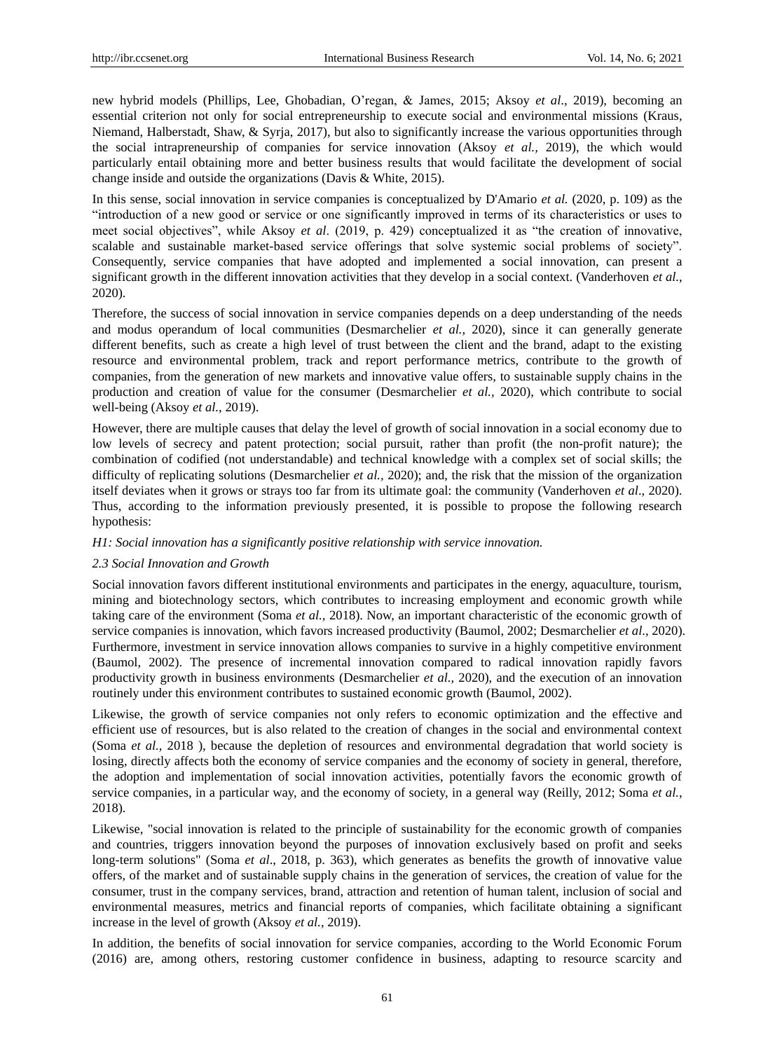new hybrid models (Phillips, Lee, Ghobadian, O"regan, & James, 2015; Aksoy *et al*., 2019), becoming an essential criterion not only for social entrepreneurship to execute social and environmental missions (Kraus, Niemand, Halberstadt, Shaw, & Syrja, 2017), but also to significantly increase the various opportunities through the social intrapreneurship of companies for service innovation (Aksoy *et al.,* 2019), the which would particularly entail obtaining more and better business results that would facilitate the development of social change inside and outside the organizations (Davis & White, 2015).

In this sense, social innovation in service companies is conceptualized by D'Amario *et al.* (2020, p. 109) as the "introduction of a new good or service or one significantly improved in terms of its characteristics or uses to meet social objectives", while Aksoy *et al*. (2019, p. 429) conceptualized it as "the creation of innovative, scalable and sustainable market-based service offerings that solve systemic social problems of society". Consequently, service companies that have adopted and implemented a social innovation, can present a significant growth in the different innovation activities that they develop in a social context. (Vanderhoven *et al.*, 2020).

Therefore, the success of social innovation in service companies depends on a deep understanding of the needs and modus operandum of local communities (Desmarchelier *et al.,* 2020), since it can generally generate different benefits, such as create a high level of trust between the client and the brand, adapt to the existing resource and environmental problem, track and report performance metrics, contribute to the growth of companies, from the generation of new markets and innovative value offers, to sustainable supply chains in the production and creation of value for the consumer (Desmarchelier *et al.,* 2020), which contribute to social well-being (Aksoy *et al.*, 2019).

However, there are multiple causes that delay the level of growth of social innovation in a social economy due to low levels of secrecy and patent protection; social pursuit, rather than profit (the non-profit nature); the combination of codified (not understandable) and technical knowledge with a complex set of social skills; the difficulty of replicating solutions (Desmarchelier *et al.,* 2020); and, the risk that the mission of the organization itself deviates when it grows or strays too far from its ultimate goal: the community (Vanderhoven *et al*., 2020). Thus, according to the information previously presented, it is possible to propose the following research hypothesis:

*H1: Social innovation has a significantly positive relationship with service innovation.*

#### *2.3 Social Innovation and Growth*

Social innovation favors different institutional environments and participates in the energy, aquaculture, tourism, mining and biotechnology sectors, which contributes to increasing employment and economic growth while taking care of the environment (Soma *et al.,* 2018). Now, an important characteristic of the economic growth of service companies is innovation, which favors increased productivity (Baumol, 2002; Desmarchelier *et al*., 2020). Furthermore, investment in service innovation allows companies to survive in a highly competitive environment (Baumol, 2002). The presence of incremental innovation compared to radical innovation rapidly favors productivity growth in business environments (Desmarchelier *et al.,* 2020), and the execution of an innovation routinely under this environment contributes to sustained economic growth (Baumol, 2002).

Likewise, the growth of service companies not only refers to economic optimization and the effective and efficient use of resources, but is also related to the creation of changes in the social and environmental context (Soma *et al.,* 2018 ), because the depletion of resources and environmental degradation that world society is losing, directly affects both the economy of service companies and the economy of society in general, therefore, the adoption and implementation of social innovation activities, potentially favors the economic growth of service companies, in a particular way, and the economy of society, in a general way (Reilly, 2012; Soma *et al.*, 2018).

Likewise, "social innovation is related to the principle of sustainability for the economic growth of companies and countries, triggers innovation beyond the purposes of innovation exclusively based on profit and seeks long-term solutions" (Soma *et al*., 2018, p. 363), which generates as benefits the growth of innovative value offers, of the market and of sustainable supply chains in the generation of services, the creation of value for the consumer, trust in the company services, brand, attraction and retention of human talent, inclusion of social and environmental measures, metrics and financial reports of companies, which facilitate obtaining a significant increase in the level of growth (Aksoy *et al.*, 2019).

In addition, the benefits of social innovation for service companies, according to the World Economic Forum (2016) are, among others, restoring customer confidence in business, adapting to resource scarcity and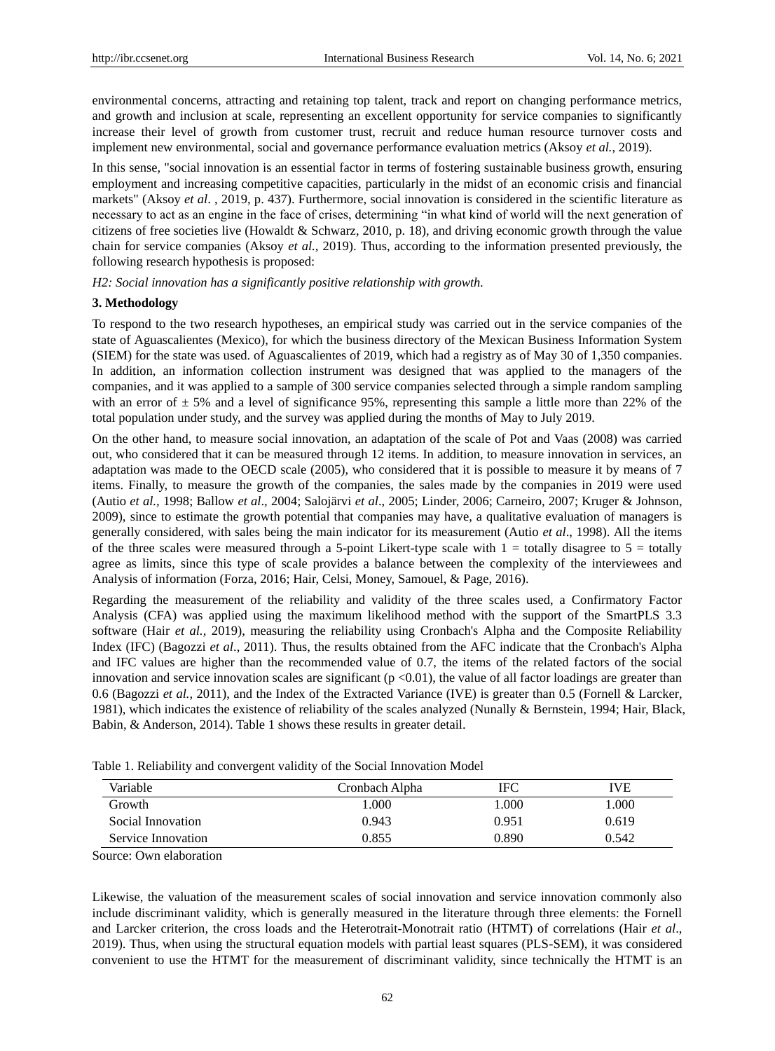environmental concerns, attracting and retaining top talent, track and report on changing performance metrics, and growth and inclusion at scale, representing an excellent opportunity for service companies to significantly increase their level of growth from customer trust, recruit and reduce human resource turnover costs and implement new environmental, social and governance performance evaluation metrics (Aksoy *et al.*, 2019).

In this sense, "social innovation is an essential factor in terms of fostering sustainable business growth, ensuring employment and increasing competitive capacities, particularly in the midst of an economic crisis and financial markets" (Aksoy *et al*. , 2019, p. 437). Furthermore, social innovation is considered in the scientific literature as necessary to act as an engine in the face of crises, determining "in what kind of world will the next generation of citizens of free societies live (Howaldt & Schwarz, 2010, p. 18), and driving economic growth through the value chain for service companies (Aksoy *et al.,* 2019). Thus, according to the information presented previously, the following research hypothesis is proposed:

*H2: Social innovation has a significantly positive relationship with growth.*

#### **3. Methodology**

To respond to the two research hypotheses, an empirical study was carried out in the service companies of the state of Aguascalientes (Mexico), for which the business directory of the Mexican Business Information System (SIEM) for the state was used. of Aguascalientes of 2019, which had a registry as of May 30 of 1,350 companies. In addition, an information collection instrument was designed that was applied to the managers of the companies, and it was applied to a sample of 300 service companies selected through a simple random sampling with an error of  $\pm 5\%$  and a level of significance 95%, representing this sample a little more than 22% of the total population under study, and the survey was applied during the months of May to July 2019.

On the other hand, to measure social innovation, an adaptation of the scale of Pot and Vaas (2008) was carried out, who considered that it can be measured through 12 items. In addition, to measure innovation in services, an adaptation was made to the OECD scale (2005), who considered that it is possible to measure it by means of 7 items. Finally, to measure the growth of the companies, the sales made by the companies in 2019 were used (Autio *et al.,* 1998; Ballow *et al*., 2004; Salojärvi *et al*., 2005; Linder, 2006; Carneiro, 2007; Kruger & Johnson, 2009), since to estimate the growth potential that companies may have, a qualitative evaluation of managers is generally considered, with sales being the main indicator for its measurement (Autio *et al*., 1998). All the items of the three scales were measured through a 5-point Likert-type scale with  $1 =$  totally disagree to  $5 =$  totally agree as limits, since this type of scale provides a balance between the complexity of the interviewees and Analysis of information (Forza, 2016; Hair, Celsi, Money, Samouel, & Page, 2016).

Regarding the measurement of the reliability and validity of the three scales used, a Confirmatory Factor Analysis (CFA) was applied using the maximum likelihood method with the support of the SmartPLS 3.3 software (Hair *et al.,* 2019), measuring the reliability using Cronbach's Alpha and the Composite Reliability Index (IFC) (Bagozzi *et al*., 2011). Thus, the results obtained from the AFC indicate that the Cronbach's Alpha and IFC values are higher than the recommended value of 0.7, the items of the related factors of the social innovation and service innovation scales are significant  $(p < 0.01)$ , the value of all factor loadings are greater than 0.6 (Bagozzi *et al.,* 2011), and the Index of the Extracted Variance (IVE) is greater than 0.5 (Fornell & Larcker, 1981), which indicates the existence of reliability of the scales analyzed (Nunally & Bernstein, 1994; Hair, Black, Babin, & Anderson, 2014). Table 1 shows these results in greater detail.

| Variable           | Cronbach Alpha | IFC   |       |
|--------------------|----------------|-------|-------|
| Growth             | .000           | 1.000 | 1.000 |
| Social Innovation  | 0.943          | 0.951 | 0.619 |
| Service Innovation | 0.855          | 0.890 | 0.542 |

Table 1. Reliability and convergent validity of the Social Innovation Model

Source: Own elaboration

Likewise, the valuation of the measurement scales of social innovation and service innovation commonly also include discriminant validity, which is generally measured in the literature through three elements: the Fornell and Larcker criterion, the cross loads and the Heterotrait-Monotrait ratio (HTMT) of correlations (Hair *et al*., 2019). Thus, when using the structural equation models with partial least squares (PLS-SEM), it was considered convenient to use the HTMT for the measurement of discriminant validity, since technically the HTMT is an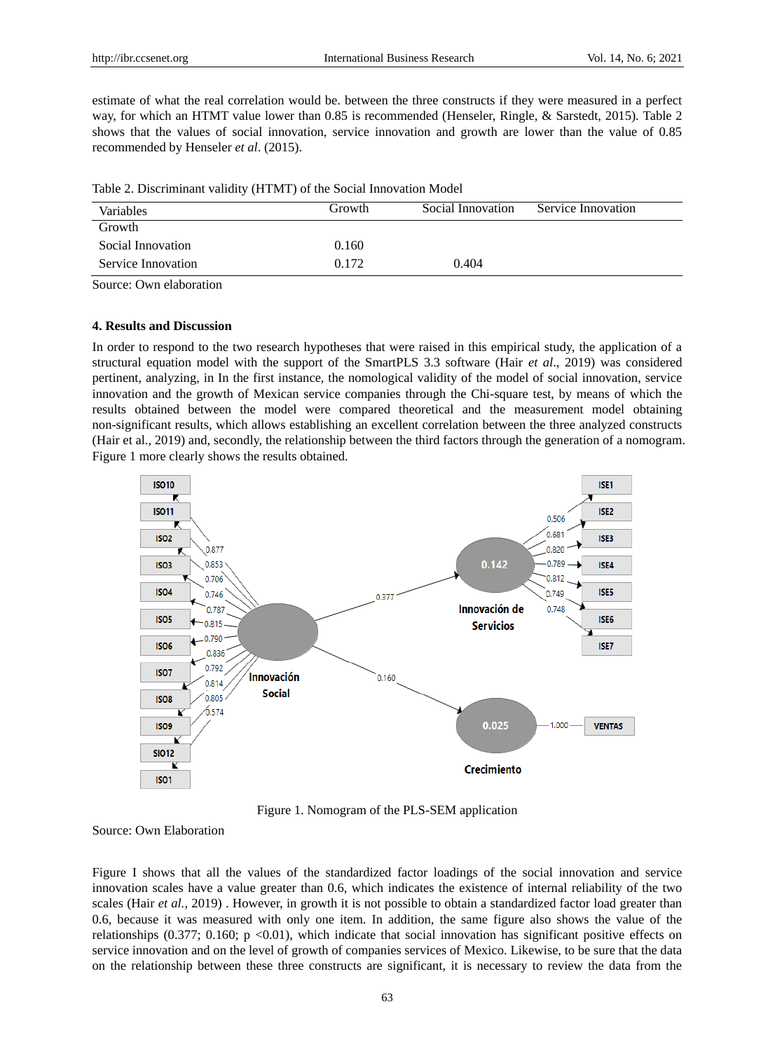estimate of what the real correlation would be. between the three constructs if they were measured in a perfect way, for which an HTMT value lower than 0.85 is recommended (Henseler, Ringle, & Sarstedt, 2015). Table 2 shows that the values of social innovation, service innovation and growth are lower than the value of 0.85 recommended by Henseler *et al*. (2015).

|  |  |  |  |  | Table 2. Discriminant validity (HTMT) of the Social Innovation Model |  |
|--|--|--|--|--|----------------------------------------------------------------------|--|
|--|--|--|--|--|----------------------------------------------------------------------|--|

| Variables          | Growth | Social Innovation | Service Innovation |
|--------------------|--------|-------------------|--------------------|
| Growth             |        |                   |                    |
| Social Innovation  | 0.160  |                   |                    |
| Service Innovation | 0.172  | 0.404             |                    |

Source: Own elaboration

# **4. Results and Discussion**

In order to respond to the two research hypotheses that were raised in this empirical study, the application of a structural equation model with the support of the SmartPLS 3.3 software (Hair *et al*., 2019) was considered pertinent, analyzing, in In the first instance, the nomological validity of the model of social innovation, service innovation and the growth of Mexican service companies through the Chi-square test, by means of which the results obtained between the model were compared theoretical and the measurement model obtaining non-significant results, which allows establishing an excellent correlation between the three analyzed constructs (Hair et al., 2019) and, secondly, the relationship between the third factors through the generation of a nomogram. Figure 1 more clearly shows the results obtained.



Figure 1. Nomogram of the PLS-SEM application

Source: Own Elaboration

Figure I shows that all the values of the standardized factor loadings of the social innovation and service innovation scales have a value greater than 0.6, which indicates the existence of internal reliability of the two scales (Hair *et al.,* 2019) . However, in growth it is not possible to obtain a standardized factor load greater than 0.6, because it was measured with only one item. In addition, the same figure also shows the value of the relationships (0.377; 0.160; p <0.01), which indicate that social innovation has significant positive effects on service innovation and on the level of growth of companies services of Mexico. Likewise, to be sure that the data on the relationship between these three constructs are significant, it is necessary to review the data from the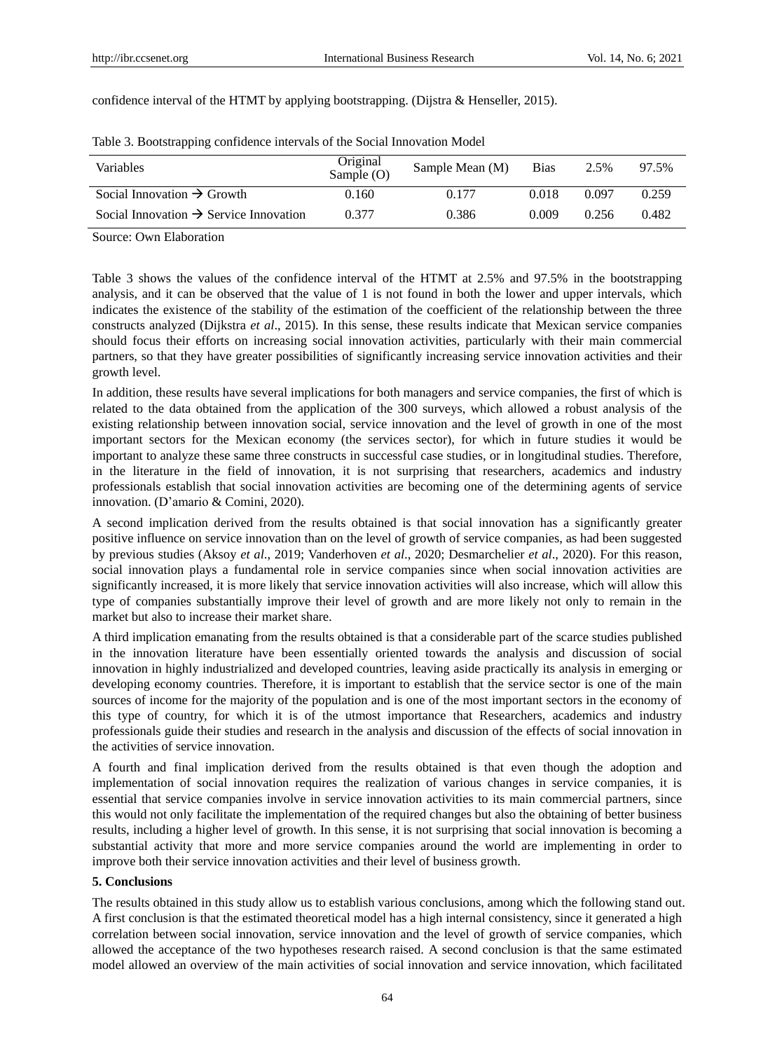| confidence interval of the HTMT by applying bootstrapping. (Dijstra & Henseller, 2015). |  |
|-----------------------------------------------------------------------------------------|--|
|-----------------------------------------------------------------------------------------|--|

| Variables                                          | Original<br>Sample $(O)$ | Sample Mean (M) | <b>Bias</b> | 2.5%  | 97.5% |
|----------------------------------------------------|--------------------------|-----------------|-------------|-------|-------|
| Social Innovation $\rightarrow$ Growth             | 0.160                    | 0.177           | 0.018       | 0.097 | 0.259 |
| Social Innovation $\rightarrow$ Service Innovation | 0.377                    | 0.386           | 0.009       | 0.256 | 0.482 |

Table 3. Bootstrapping confidence intervals of the Social Innovation Model

Source: Own Elaboration

Table 3 shows the values of the confidence interval of the HTMT at 2.5% and 97.5% in the bootstrapping analysis, and it can be observed that the value of 1 is not found in both the lower and upper intervals, which indicates the existence of the stability of the estimation of the coefficient of the relationship between the three constructs analyzed (Dijkstra *et al*., 2015). In this sense, these results indicate that Mexican service companies should focus their efforts on increasing social innovation activities, particularly with their main commercial partners, so that they have greater possibilities of significantly increasing service innovation activities and their growth level.

In addition, these results have several implications for both managers and service companies, the first of which is related to the data obtained from the application of the 300 surveys, which allowed a robust analysis of the existing relationship between innovation social, service innovation and the level of growth in one of the most important sectors for the Mexican economy (the services sector), for which in future studies it would be important to analyze these same three constructs in successful case studies, or in longitudinal studies. Therefore, in the literature in the field of innovation, it is not surprising that researchers, academics and industry professionals establish that social innovation activities are becoming one of the determining agents of service innovation. (D"amario & Comini, 2020).

A second implication derived from the results obtained is that social innovation has a significantly greater positive influence on service innovation than on the level of growth of service companies, as had been suggested by previous studies (Aksoy *et al*., 2019; Vanderhoven *et al*., 2020; Desmarchelier *et al*., 2020). For this reason, social innovation plays a fundamental role in service companies since when social innovation activities are significantly increased, it is more likely that service innovation activities will also increase, which will allow this type of companies substantially improve their level of growth and are more likely not only to remain in the market but also to increase their market share.

A third implication emanating from the results obtained is that a considerable part of the scarce studies published in the innovation literature have been essentially oriented towards the analysis and discussion of social innovation in highly industrialized and developed countries, leaving aside practically its analysis in emerging or developing economy countries. Therefore, it is important to establish that the service sector is one of the main sources of income for the majority of the population and is one of the most important sectors in the economy of this type of country, for which it is of the utmost importance that Researchers, academics and industry professionals guide their studies and research in the analysis and discussion of the effects of social innovation in the activities of service innovation.

A fourth and final implication derived from the results obtained is that even though the adoption and implementation of social innovation requires the realization of various changes in service companies, it is essential that service companies involve in service innovation activities to its main commercial partners, since this would not only facilitate the implementation of the required changes but also the obtaining of better business results, including a higher level of growth. In this sense, it is not surprising that social innovation is becoming a substantial activity that more and more service companies around the world are implementing in order to improve both their service innovation activities and their level of business growth.

## **5. Conclusions**

The results obtained in this study allow us to establish various conclusions, among which the following stand out. A first conclusion is that the estimated theoretical model has a high internal consistency, since it generated a high correlation between social innovation, service innovation and the level of growth of service companies, which allowed the acceptance of the two hypotheses research raised. A second conclusion is that the same estimated model allowed an overview of the main activities of social innovation and service innovation, which facilitated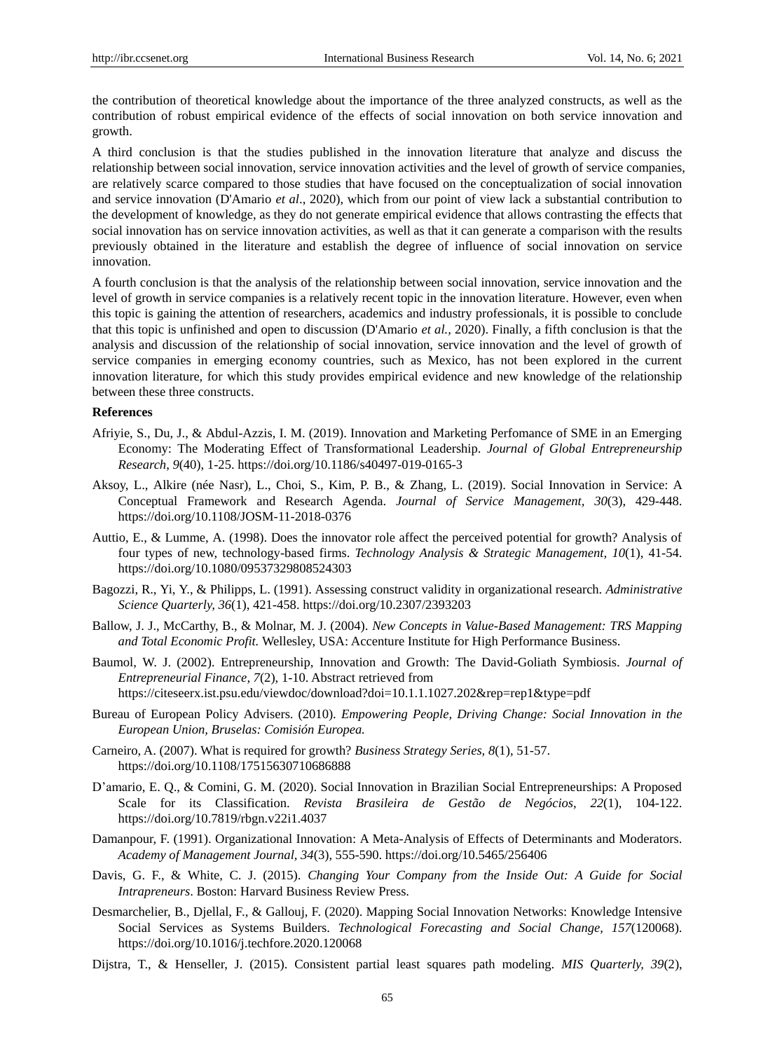the contribution of theoretical knowledge about the importance of the three analyzed constructs, as well as the contribution of robust empirical evidence of the effects of social innovation on both service innovation and growth.

A third conclusion is that the studies published in the innovation literature that analyze and discuss the relationship between social innovation, service innovation activities and the level of growth of service companies, are relatively scarce compared to those studies that have focused on the conceptualization of social innovation and service innovation (D'Amario *et al*., 2020), which from our point of view lack a substantial contribution to the development of knowledge, as they do not generate empirical evidence that allows contrasting the effects that social innovation has on service innovation activities, as well as that it can generate a comparison with the results previously obtained in the literature and establish the degree of influence of social innovation on service innovation.

A fourth conclusion is that the analysis of the relationship between social innovation, service innovation and the level of growth in service companies is a relatively recent topic in the innovation literature. However, even when this topic is gaining the attention of researchers, academics and industry professionals, it is possible to conclude that this topic is unfinished and open to discussion (D'Amario *et al.,* 2020). Finally, a fifth conclusion is that the analysis and discussion of the relationship of social innovation, service innovation and the level of growth of service companies in emerging economy countries, such as Mexico, has not been explored in the current innovation literature, for which this study provides empirical evidence and new knowledge of the relationship between these three constructs.

#### **References**

- Afriyie, S., Du, J., & Abdul-Azzis, I. M. (2019). Innovation and Marketing Perfomance of SME in an Emerging Economy: The Moderating Effect of Transformational Leadership. *Journal of Global Entrepreneurship Research*, *9*(40), 1-25. https://doi.org/10.1186/s40497-019-0165-3
- Aksoy, L., Alkire (née Nasr), L., Choi, S., Kim, P. B., & Zhang, L. (2019). Social Innovation in Service: A Conceptual Framework and Research Agenda. *Journal of Service Management, 30*(3), 429-448. https://doi.org/10.1108/JOSM-11-2018-0376
- Auttio, E., & Lumme, A. (1998). Does the innovator role affect the perceived potential for growth? Analysis of four types of new, technology-based firms. *Technology Analysis & Strategic Management, 10*(1), 41-54. https://doi.org/10.1080/09537329808524303
- Bagozzi, R., Yi, Y., & Philipps, L. (1991). Assessing construct validity in organizational research. *Administrative Science Quarterly, 36*(1), 421-458. https://doi.org/10.2307/2393203
- Ballow, J. J., McCarthy, B., & Molnar, M. J. (2004). *New Concepts in Value-Based Management: TRS Mapping and Total Economic Profit.* Wellesley, USA: Accenture Institute for High Performance Business.
- Baumol, W. J. (2002). Entrepreneurship, Innovation and Growth: The David-Goliath Symbiosis. *Journal of Entrepreneurial Finance, 7*(2), 1-10. Abstract retrieved from https://citeseerx.ist.psu.edu/viewdoc/download?doi=10.1.1.1027.202&rep=rep1&type=pdf
- Bureau of European Policy Advisers. (2010). *Empowering People, Driving Change: Social Innovation in the European Union, Bruselas: Comisión Europea.*
- Carneiro, A. (2007). What is required for growth? *Business Strategy Series, 8*(1), 51-57. https://doi.org/10.1108/17515630710686888
- D"amario, E. Q., & Comini, G. M. (2020). Social Innovation in Brazilian Social Entrepreneurships: A Proposed Scale for its Classification. *Revista Brasileira de Gestão de Negócios, 22*(1), 104-122. https://doi.org/10.7819/rbgn.v22i1.4037
- Damanpour, F. (1991). Organizational Innovation: A Meta-Analysis of Effects of Determinants and Moderators. *Academy of Management Journal, 34*(3), 555-590. https://doi.org/10.5465/256406
- Davis, G. F., & White, C. J. (2015). *Changing Your Company from the Inside Out: A Guide for Social Intrapreneurs*. Boston: Harvard Business Review Press.
- Desmarchelier, B., Djellal, F., & Gallouj, F. (2020). Mapping Social Innovation Networks: Knowledge Intensive Social Services as Systems Builders. *Technological Forecasting and Social Change, 157*(120068). https://doi.org/10.1016/j.techfore.2020.120068
- Dijstra, T., & Henseller, J. (2015). Consistent partial least squares path modeling. *MIS Quarterly, 39*(2),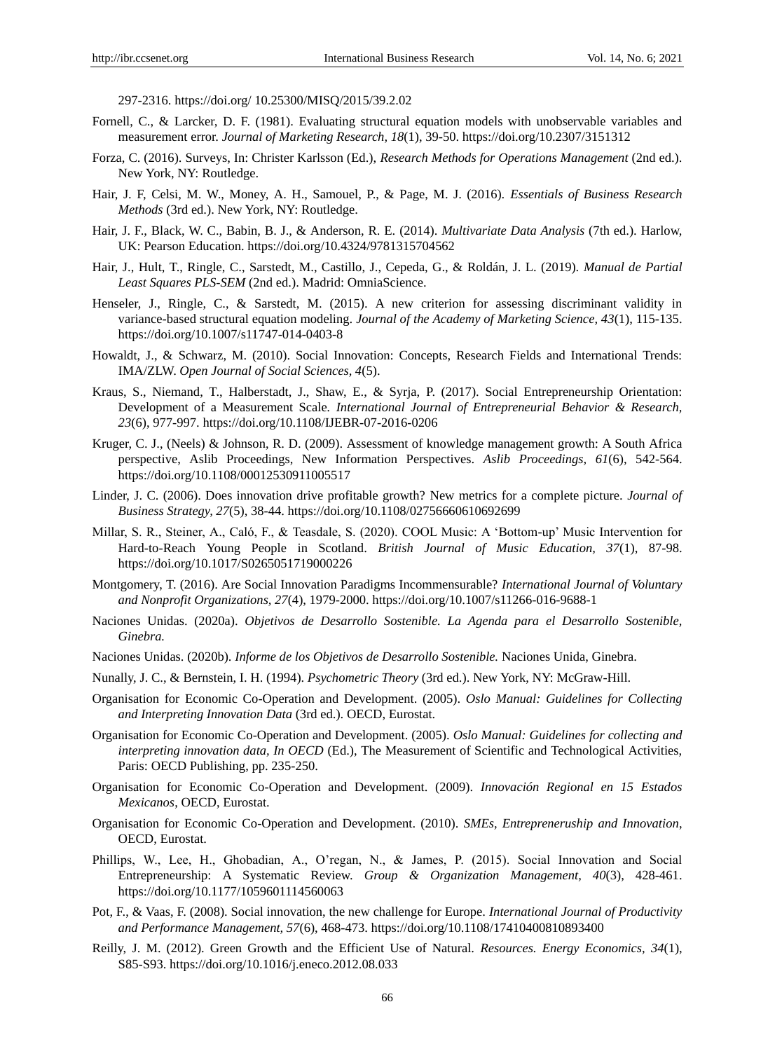297-2316. https://doi.org/ 10.25300/MISQ/2015/39.2.02

- Fornell, C., & Larcker, D. F. (1981). Evaluating structural equation models with unobservable variables and measurement error. *Journal of Marketing Research, 18*(1), 39-50. https://doi.org/10.2307/3151312
- Forza, C. (2016). Surveys, In: Christer Karlsson (Ed.), *Research Methods for Operations Management* (2nd ed.). New York, NY: Routledge.
- Hair, J. F, Celsi, M. W., Money, A. H., Samouel, P., & Page, M. J. (2016). *Essentials of Business Research Methods* (3rd ed.). New York, NY: Routledge.
- Hair, J. F., Black, W. C., Babin, B. J., & Anderson, R. E. (2014). *Multivariate Data Analysis* (7th ed.). Harlow, UK: Pearson Education. https://doi.org/10.4324/9781315704562
- Hair, J., Hult, T., Ringle, C., Sarstedt, M., Castillo, J., Cepeda, G., & Roldán, J. L. (2019). *Manual de Partial Least Squares PLS-SEM* (2nd ed.). Madrid: OmniaScience.
- Henseler, J., Ringle, C., & Sarstedt, M. (2015). A new criterion for assessing discriminant validity in variance-based structural equation modeling. *Journal of the Academy of Marketing Science, 43*(1), 115-135. https://doi.org/10.1007/s11747-014-0403-8
- Howaldt, J., & Schwarz, M. (2010). Social Innovation: Concepts, Research Fields and International Trends: IMA/ZLW. *Open Journal of Social Sciences, 4*(5).
- Kraus, S., Niemand, T., Halberstadt, J., Shaw, E., & Syrja, P. (2017). Social Entrepreneurship Orientation: Development of a Measurement Scale*. International Journal of Entrepreneurial Behavior & Research, 23*(6), 977-997. https://doi.org/10.1108/IJEBR-07-2016-0206
- Kruger, C. J., (Neels) & Johnson, R. D. (2009). Assessment of knowledge management growth: A South Africa perspective, Aslib Proceedings, New Information Perspectives. *Aslib Proceedings, 61*(6), 542-564. https://doi.org/10.1108/00012530911005517
- Linder, J. C. (2006). Does innovation drive profitable growth? New metrics for a complete picture. *Journal of Business Strategy, 27*(5), 38-44. https://doi.org/10.1108/02756660610692699
- Millar, S. R., Steiner, A., Caló, F., & Teasdale, S. (2020). COOL Music: A "Bottom-up" Music Intervention for Hard-to-Reach Young People in Scotland. *British Journal of Music Education, 37*(1), 87-98. https://doi.org/10.1017/S0265051719000226
- Montgomery, T. (2016). Are Social Innovation Paradigms Incommensurable? *International Journal of Voluntary and Nonprofit Organizations, 27*(4), 1979-2000. https://doi.org/10.1007/s11266-016-9688-1
- Naciones Unidas. (2020a). *Objetivos de Desarrollo Sostenible. La Agenda para el Desarrollo Sostenible, Ginebra.*
- Naciones Unidas. (2020b). *Informe de los Objetivos de Desarrollo Sostenible.* Naciones Unida, Ginebra.
- Nunally, J. C., & Bernstein, I. H. (1994). *Psychometric Theory* (3rd ed.). New York, NY: McGraw-Hill.
- Organisation for Economic Co-Operation and Development. (2005). *Oslo Manual: Guidelines for Collecting and Interpreting Innovation Data* (3rd ed.). OECD, Eurostat.
- Organisation for Economic Co-Operation and Development. (2005). *Oslo Manual: Guidelines for collecting and interpreting innovation data, In OECD* (Ed.), The Measurement of Scientific and Technological Activities, Paris: OECD Publishing, pp. 235-250.
- Organisation for Economic Co-Operation and Development. (2009). *Innovación Regional en 15 Estados Mexicanos*, OECD, Eurostat.
- Organisation for Economic Co-Operation and Development. (2010). *SMEs, Entrepreneruship and Innovation*, OECD, Eurostat.
- Phillips, W., Lee, H., Ghobadian, A., O"regan, N., & James, P. (2015). Social Innovation and Social Entrepreneurship: A Systematic Review. *Group & Organization Management, 40*(3), 428-461. https://doi.org/10.1177/1059601114560063
- Pot, F., & Vaas, F. (2008). Social innovation, the new challenge for Europe. *International Journal of Productivity and Performance Management, 57*(6), 468-473. https://doi.org/10.1108/17410400810893400
- Reilly, J. M. (2012). Green Growth and the Efficient Use of Natural. *Resources. Energy Economics, 34*(1), S85-S93. https://doi.org/10.1016/j.eneco.2012.08.033